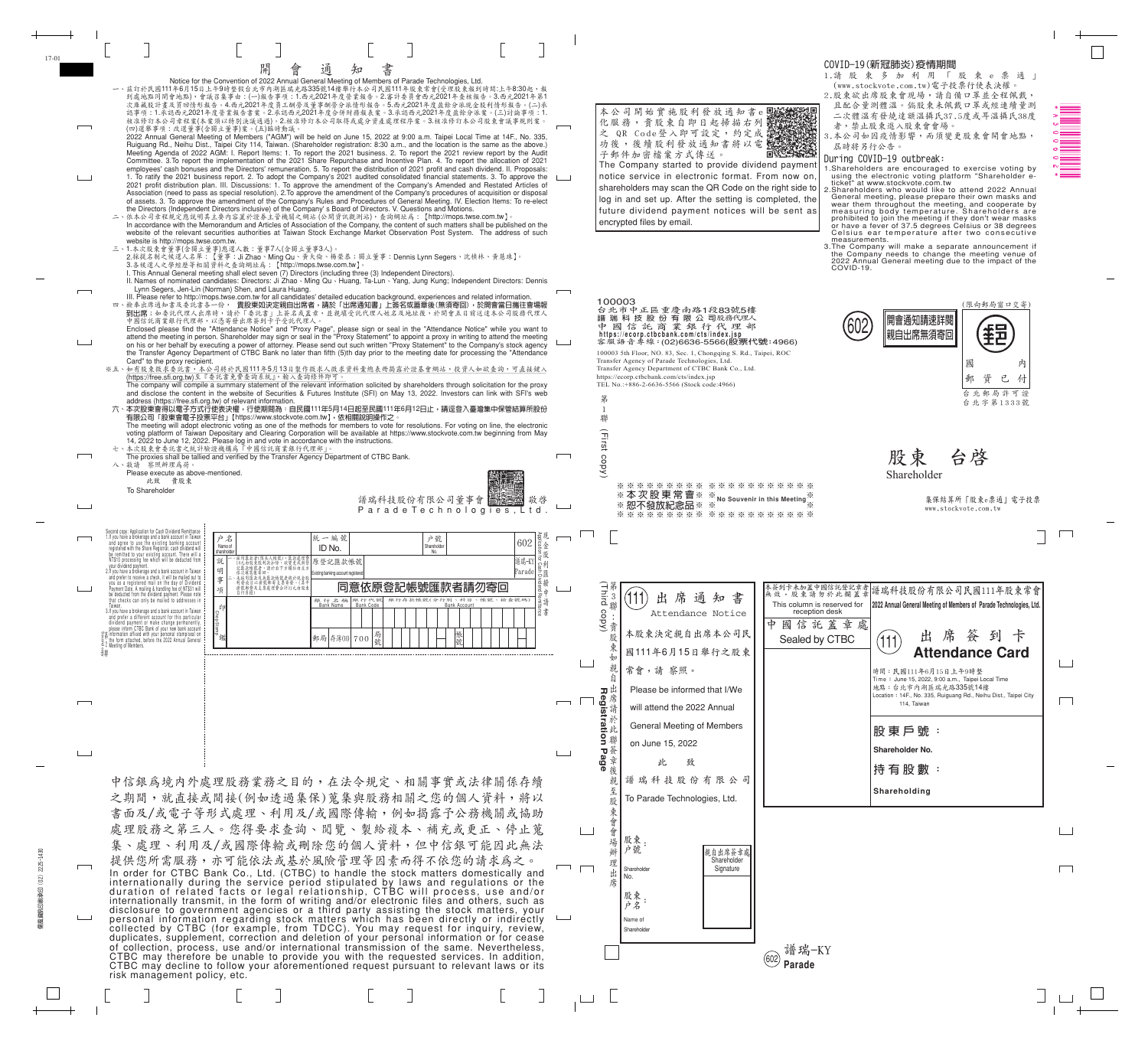